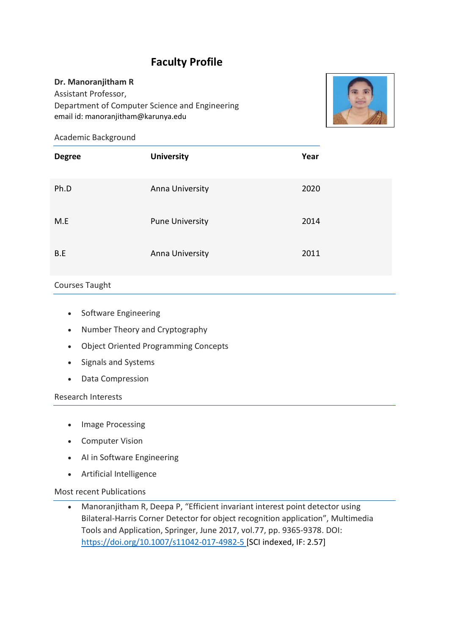# **Faculty Profile**

#### **Dr. Manoranjitham R**

Assistant Professor, Department of Computer Science and Engineering email id: manoranjitham@karunya.edu



Academic Background

| <b>Degree</b> | <b>University</b>      | Year |
|---------------|------------------------|------|
| Ph.D          | Anna University        | 2020 |
| M.E           | <b>Pune University</b> | 2014 |
| B.E           | Anna University        | 2011 |

### Courses Taught

- Software Engineering
- Number Theory and Cryptography
- Object Oriented Programming Concepts
- Signals and Systems
- Data Compression

Research Interests

- Image Processing
- Computer Vision
- AI in Software Engineering
- Artificial Intelligence

Most recent Publications

• Manoranjitham R, Deepa P, "Efficient invariant interest point detector using Bilateral-Harris Corner Detector for object recognition application", Multimedia Tools and Application, Springer, June 2017, vol.77, pp. 9365-9378. DOI: <https://doi.org/10.1007/s11042-017-4982-5> [SCI indexed, IF: 2.57]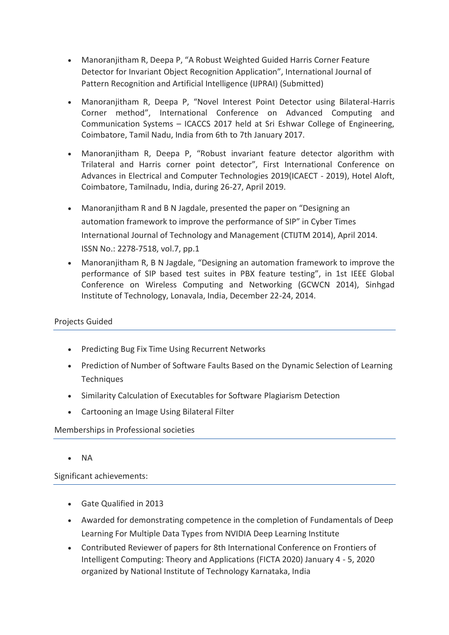- Manoranjitham R, Deepa P, "A Robust Weighted Guided Harris Corner Feature Detector for Invariant Object Recognition Application", International Journal of Pattern Recognition and Artificial Intelligence (IJPRAI) (Submitted)
- Manoranjitham R, Deepa P, "Novel Interest Point Detector using Bilateral-Harris Corner method", International Conference on Advanced Computing and Communication Systems – ICACCS 2017 held at Sri Eshwar College of Engineering, Coimbatore, Tamil Nadu, India from 6th to 7th January 2017.
- Manoranjitham R, Deepa P, "Robust invariant feature detector algorithm with Trilateral and Harris corner point detector", First International Conference on Advances in Electrical and Computer Technologies 2019(ICAECT - 2019), Hotel Aloft, Coimbatore, Tamilnadu, India, during 26-27, April 2019.
- Manoranjitham R and B N Jagdale, presented the paper on "Designing an automation framework to improve the performance of SIP" in Cyber Times International Journal of Technology and Management (CTIJTM 2014), April 2014. ISSN No.: 2278-7518, vol.7, pp.1
- Manoranjitham R, B N Jagdale, "Designing an automation framework to improve the performance of SIP based test suites in PBX feature testing", in 1st IEEE Global Conference on Wireless Computing and Networking (GCWCN 2014), Sinhgad Institute of Technology, Lonavala, India, December 22-24, 2014.

## Projects Guided

- Predicting Bug Fix Time Using Recurrent Networks
- Prediction of Number of Software Faults Based on the Dynamic Selection of Learning **Techniques**
- Similarity Calculation of Executables for Software Plagiarism Detection
- Cartooning an Image Using Bilateral Filter

### Memberships in Professional societies

• NA

Significant achievements:

- Gate Qualified in 2013
- Awarded for demonstrating competence in the completion of Fundamentals of Deep Learning For Multiple Data Types from NVIDIA Deep Learning Institute
- Contributed Reviewer of papers for 8th International Conference on Frontiers of Intelligent Computing: Theory and Applications (FICTA 2020) January 4 - 5, 2020 organized by National Institute of Technology Karnataka, India